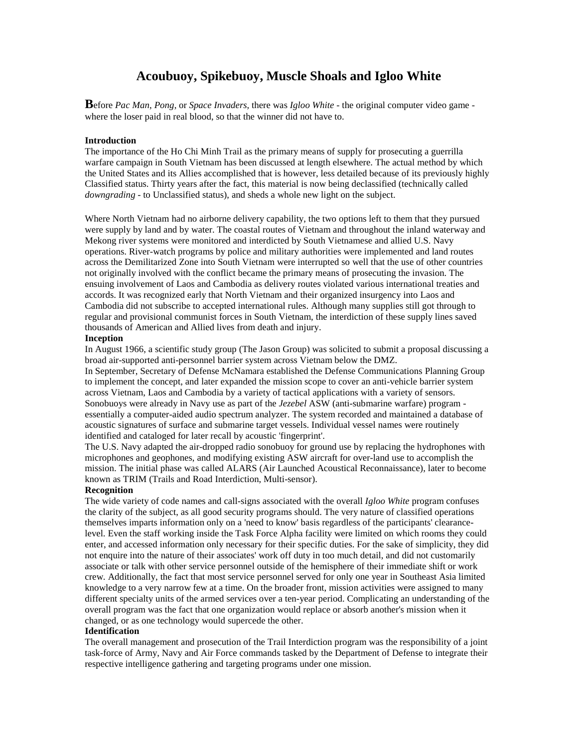# **Acoubuoy, Spikebuoy, Muscle Shoals and Igloo White**

**B**efore *Pac Man*, *Pong*, or *Space Invaders,* there was *Igloo White* - the original computer video game where the loser paid in real blood, so that the winner did not have to.

# **Introduction**

The importance of the Ho Chi Minh Trail as the primary means of supply for prosecuting a guerrilla warfare campaign in South Vietnam has been discussed at length elsewhere. The actual method by which the United States and its Allies accomplished that is however, less detailed because of its previously highly Classified status. Thirty years after the fact, this material is now being declassified (technically called *downgrading* - to Unclassified status), and sheds a whole new light on the subject.

Where North Vietnam had no airborne delivery capability, the two options left to them that they pursued were supply by land and by water. The coastal routes of Vietnam and throughout the inland waterway and Mekong river systems were monitored and interdicted by South Vietnamese and allied U.S. Navy operations. River-watch programs by police and military authorities were implemented and land routes across the Demilitarized Zone into South Vietnam were interrupted so well that the use of other countries not originally involved with the conflict became the primary means of prosecuting the invasion. The ensuing involvement of Laos and Cambodia as delivery routes violated various international treaties and accords. It was recognized early that North Vietnam and their organized insurgency into Laos and Cambodia did not subscribe to accepted international rules. Although many supplies still got through to regular and provisional communist forces in South Vietnam, the interdiction of these supply lines saved thousands of American and Allied lives from death and injury.

# **Inception**

In August 1966, a scientific study group (The Jason Group) was solicited to submit a proposal discussing a broad air-supported anti-personnel barrier system across Vietnam below the DMZ.

In September, Secretary of Defense McNamara established the Defense Communications Planning Group to implement the concept, and later expanded the mission scope to cover an anti-vehicle barrier system across Vietnam, Laos and Cambodia by a variety of tactical applications with a variety of sensors. Sonobuoys were already in Navy use as part of the *Jezebel* ASW (anti-submarine warfare) program essentially a computer-aided audio spectrum analyzer. The system recorded and maintained a database of acoustic signatures of surface and submarine target vessels. Individual vessel names were routinely identified and cataloged for later recall by acoustic 'fingerprint'.

The U.S. Navy adapted the air-dropped radio sonobuoy for ground use by replacing the hydrophones with microphones and geophones, and modifying existing ASW aircraft for over-land use to accomplish the mission. The initial phase was called ALARS (Air Launched Acoustical Reconnaissance), later to become known as TRIM (Trails and Road Interdiction, Multi-sensor).

#### **Recognition**

The wide variety of code names and call-signs associated with the overall *Igloo White* program confuses the clarity of the subject, as all good security programs should. The very nature of classified operations themselves imparts information only on a 'need to know' basis regardless of the participants' clearancelevel. Even the staff working inside the Task Force Alpha facility were limited on which rooms they could enter, and accessed information only necessary for their specific duties. For the sake of simplicity, they did not enquire into the nature of their associates' work off duty in too much detail, and did not customarily associate or talk with other service personnel outside of the hemisphere of their immediate shift or work crew. Additionally, the fact that most service personnel served for only one year in Southeast Asia limited knowledge to a very narrow few at a time. On the broader front, mission activities were assigned to many different specialty units of the armed services over a ten-year period. Complicating an understanding of the overall program was the fact that one organization would replace or absorb another's mission when it changed, or as one technology would supercede the other.

#### **Identification**

The overall management and prosecution of the Trail Interdiction program was the responsibility of a joint task-force of Army, Navy and Air Force commands tasked by the Department of Defense to integrate their respective intelligence gathering and targeting programs under one mission.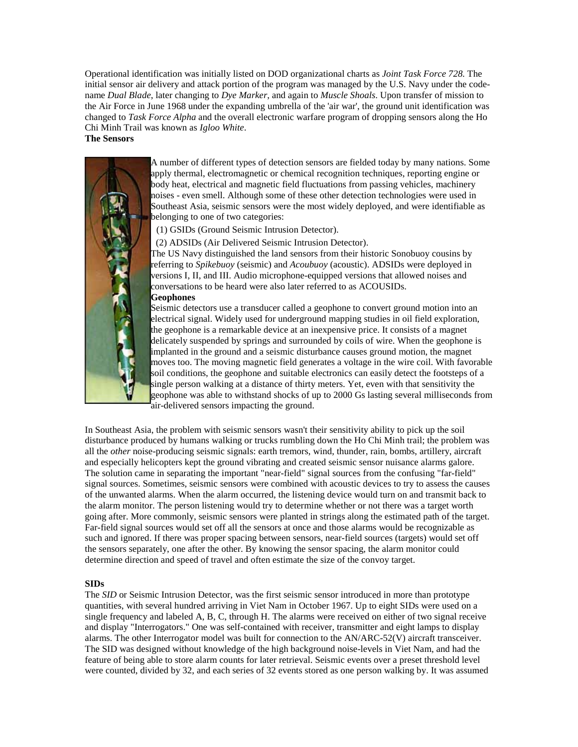Operational identification was initially listed on DOD organizational charts as *Joint Task Force 728.* The initial sensor air delivery and attack portion of the program was managed by the U.S. Navy under the codename *Dual Blade*, later changing to *Dye Marker*, and again to *Muscle Shoals*. Upon transfer of mission to the Air Force in June 1968 under the expanding umbrella of the 'air war', the ground unit identification was changed to *Task Force Alpha* and the overall electronic warfare program of dropping sensors along the Ho Chi Minh Trail was known as *Igloo White*.

**The Sensors**



A number of different types of detection sensors are fielded today by many nations. Some apply thermal, electromagnetic or chemical recognition techniques, reporting engine or body heat, electrical and magnetic field fluctuations from passing vehicles, machinery noises - even smell. Although some of these other detection technologies were used in Southeast Asia, seismic sensors were the most widely deployed, and were identifiable as belonging to one of two categories:

(1) GSIDs (Ground Seismic Intrusion Detector).

(2) ADSIDs (Air Delivered Seismic Intrusion Detector).

The US Navy distinguished the land sensors from their historic Sonobuoy cousins by referring to *Spikebuoy* (seismic) and *Acoubuoy* (acoustic). ADSIDs were deployed in versions I, II, and III. Audio microphone-equipped versions that allowed noises and conversations to be heard were also later referred to as ACOUSIDs. **Geophones** 

Seismic detectors use a transducer called a geophone to convert ground motion into an electrical signal. Widely used for underground mapping studies in oil field exploration, the geophone is a remarkable device at an inexpensive price. It consists of a magnet delicately suspended by springs and surrounded by coils of wire. When the geophone is implanted in the ground and a seismic disturbance causes ground motion, the magnet moves too. The moving magnetic field generates a voltage in the wire coil. With favorable soil conditions, the geophone and suitable electronics can easily detect the footsteps of a single person walking at a distance of thirty meters. Yet, even with that sensitivity the geophone was able to withstand shocks of up to 2000 Gs lasting several milliseconds from air-delivered sensors impacting the ground.

In Southeast Asia, the problem with seismic sensors wasn't their sensitivity ability to pick up the soil disturbance produced by humans walking or trucks rumbling down the Ho Chi Minh trail; the problem was all the *other* noise-producing seismic signals: earth tremors, wind, thunder, rain, bombs, artillery, aircraft and especially helicopters kept the ground vibrating and created seismic sensor nuisance alarms galore. The solution came in separating the important "near-field" signal sources from the confusing "far-field" signal sources. Sometimes, seismic sensors were combined with acoustic devices to try to assess the causes of the unwanted alarms. When the alarm occurred, the listening device would turn on and transmit back to the alarm monitor. The person listening would try to determine whether or not there was a target worth going after. More commonly, seismic sensors were planted in strings along the estimated path of the target. Far-field signal sources would set off all the sensors at once and those alarms would be recognizable as such and ignored. If there was proper spacing between sensors, near-field sources (targets) would set off the sensors separately, one after the other. By knowing the sensor spacing, the alarm monitor could determine direction and speed of travel and often estimate the size of the convoy target.

# **SIDs**

The *SID* or Seismic Intrusion Detector, was the first seismic sensor introduced in more than prototype quantities, with several hundred arriving in Viet Nam in October 1967. Up to eight SIDs were used on a single frequency and labeled A, B, C, through H. The alarms were received on either of two signal receive and display "Interrogators." One was self-contained with receiver, transmitter and eight lamps to display alarms. The other Interrogator model was built for connection to the AN/ARC-52(V) aircraft transceiver. The SID was designed without knowledge of the high background noise-levels in Viet Nam, and had the feature of being able to store alarm counts for later retrieval. Seismic events over a preset threshold level were counted, divided by 32, and each series of 32 events stored as one person walking by. It was assumed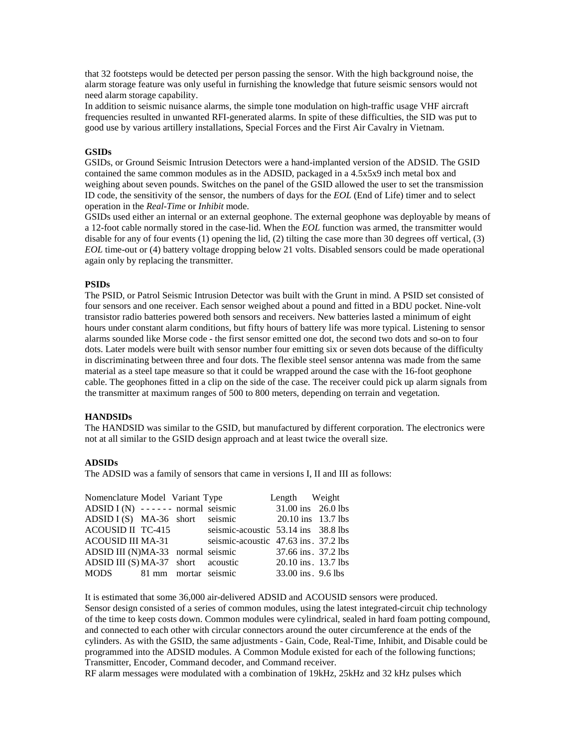that 32 footsteps would be detected per person passing the sensor. With the high background noise, the alarm storage feature was only useful in furnishing the knowledge that future seismic sensors would not need alarm storage capability.

In addition to seismic nuisance alarms, the simple tone modulation on high-traffic usage VHF aircraft frequencies resulted in unwanted RFI-generated alarms. In spite of these difficulties, the SID was put to good use by various artillery installations, Special Forces and the First Air Cavalry in Vietnam.

#### **GSIDs**

GSIDs, or Ground Seismic Intrusion Detectors were a hand-implanted version of the ADSID. The GSID contained the same common modules as in the ADSID, packaged in a 4.5x5x9 inch metal box and weighing about seven pounds. Switches on the panel of the GSID allowed the user to set the transmission ID code, the sensitivity of the sensor, the numbers of days for the *EOL* (End of Life) timer and to select operation in the *Real-Time* or *Inhibit* mode.

GSIDs used either an internal or an external geophone. The external geophone was deployable by means of a 12-foot cable normally stored in the case-lid. When the *EOL* function was armed, the transmitter would disable for any of four events (1) opening the lid, (2) tilting the case more than 30 degrees off vertical, (3) *EOL* time-out or (4) battery voltage dropping below 21 volts. Disabled sensors could be made operational again only by replacing the transmitter.

#### **PSIDs**

The PSID, or Patrol Seismic Intrusion Detector was built with the Grunt in mind. A PSID set consisted of four sensors and one receiver. Each sensor weighed about a pound and fitted in a BDU pocket. Nine-volt transistor radio batteries powered both sensors and receivers. New batteries lasted a minimum of eight hours under constant alarm conditions, but fifty hours of battery life was more typical. Listening to sensor alarms sounded like Morse code - the first sensor emitted one dot, the second two dots and so-on to four dots. Later models were built with sensor number four emitting six or seven dots because of the difficulty in discriminating between three and four dots. The flexible steel sensor antenna was made from the same material as a steel tape measure so that it could be wrapped around the case with the 16-foot geophone cable. The geophones fitted in a clip on the side of the case. The receiver could pick up alarm signals from the transmitter at maximum ranges of 500 to 800 meters, depending on terrain and vegetation.

#### **HANDSIDs**

The HANDSID was similar to the GSID, but manufactured by different corporation. The electronics were not at all similar to the GSID design approach and at least twice the overall size.

# **ADSIDs**

The ADSID was a family of sensors that came in versions I, II and III as follows:

| Nomenclature Model Variant Type      |  |                                      | Length Weight       |  |
|--------------------------------------|--|--------------------------------------|---------------------|--|
| ADSID $I(N)$ ------ normal seismic   |  |                                      | 31.00 ins 26.0 lbs  |  |
|                                      |  | $\angle 20.10$ ins 13.7 lbs          |                     |  |
| <b>ACOUSID II TC-415</b>             |  | seismic-acoustic 53.14 ins 38.8 lbs  |                     |  |
| ACOUSID III MA-31                    |  | seismic-acoustic 47.63 ins. 37.2 lbs |                     |  |
| ADSID III (N)MA-33 normal seismic    |  |                                      | 37.66 ins. 37.2 lbs |  |
| $ADSID III (S) MA-37 short acoustic$ |  |                                      | 20.10 ins. 13.7 lbs |  |
| MODS 81 mm mortar seismic            |  |                                      | 33.00 ins. 9.6 lbs  |  |

It is estimated that some 36,000 air-delivered ADSID and ACOUSID sensors were produced. Sensor design consisted of a series of common modules, using the latest integrated-circuit chip technology of the time to keep costs down. Common modules were cylindrical, sealed in hard foam potting compound, and connected to each other with circular connectors around the outer circumference at the ends of the cylinders. As with the GSID, the same adjustments - Gain, Code, Real-Time, Inhibit, and Disable could be programmed into the ADSID modules. A Common Module existed for each of the following functions; Transmitter, Encoder, Command decoder, and Command receiver.

RF alarm messages were modulated with a combination of 19kHz, 25kHz and 32 kHz pulses which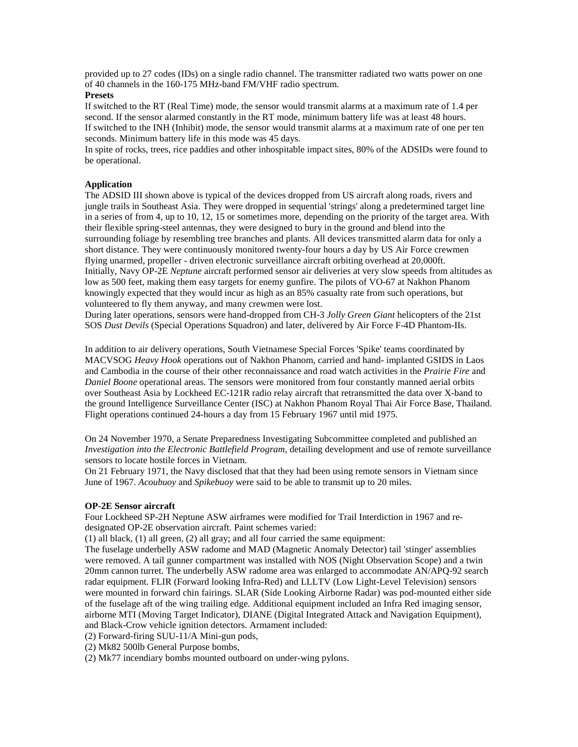provided up to 27 codes (IDs) on a single radio channel. The transmitter radiated two watts power on one of 40 channels in the 160-175 MHz-band FM/VHF radio spectrum.

# **Presets**

If switched to the RT (Real Time) mode, the sensor would transmit alarms at a maximum rate of 1.4 per second. If the sensor alarmed constantly in the RT mode, minimum battery life was at least 48 hours. If switched to the INH (Inhibit) mode, the sensor would transmit alarms at a maximum rate of one per ten seconds. Minimum battery life in this mode was 45 days.

In spite of rocks, trees, rice paddies and other inhospitable impact sites, 80% of the ADSIDs were found to be operational.

# **Application**

The ADSID III shown above is typical of the devices dropped from US aircraft along roads, rivers and jungle trails in Southeast Asia. They were dropped in sequential 'strings' along a predetermined target line in a series of from 4, up to 10, 12, 15 or sometimes more, depending on the priority of the target area. With their flexible spring-steel antennas, they were designed to bury in the ground and blend into the surrounding foliage by resembling tree branches and plants. All devices transmitted alarm data for only a short distance. They were continuously monitored twenty-four hours a day by US Air Force crewmen flying unarmed, propeller - driven electronic surveillance aircraft orbiting overhead at 20,000ft. Initially, Navy OP-2E *Neptune* aircraft performed sensor air deliveries at very slow speeds from altitudes as low as 500 feet, making them easy targets for enemy gunfire. The pilots of VO-67 at Nakhon Phanom knowingly expected that they would incur as high as an 85% casualty rate from such operations, but volunteered to fly them anyway, and many crewmen were lost.

During later operations, sensors were hand-dropped from CH-3 *Jolly Green Giant* helicopters of the 21st SOS *Dust Devils* (Special Operations Squadron) and later, delivered by Air Force F-4D Phantom-IIs.

In addition to air delivery operations, South Vietnamese Special Forces 'Spike' teams coordinated by MACVSOG *Heavy Hook* operations out of Nakhon Phanom, carried and hand- implanted GSIDS in Laos and Cambodia in the course of their other reconnaissance and road watch activities in the *Prairie Fire* and *Daniel Boone* operational areas. The sensors were monitored from four constantly manned aerial orbits over Southeast Asia by Lockheed EC-121R radio relay aircraft that retransmitted the data over X-band to the ground Intelligence Surveillance Center (ISC) at Nakhon Phanom Royal Thai Air Force Base, Thailand. Flight operations continued 24-hours a day from 15 February 1967 until mid 1975.

On 24 November 1970, a Senate Preparedness Investigating Subcommittee completed and published an *Investigation into the Electronic Battlefield Program*, detailing development and use of remote surveillance sensors to locate hostile forces in Vietnam.

On 21 February 1971, the Navy disclosed that that they had been using remote sensors in Vietnam since June of 1967. *Acoubuoy* and *Spikebuoy* were said to be able to transmit up to 20 miles.

#### **OP-2E Sensor aircraft**

Four Lockheed SP-2H Neptune ASW airframes were modified for Trail Interdiction in 1967 and redesignated OP-2E observation aircraft. Paint schemes varied:

(1) all black, (1) all green, (2) all gray; and all four carried the same equipment:

The fuselage underbelly ASW radome and MAD (Magnetic Anomaly Detector) tail 'stinger' assemblies were removed. A tail gunner compartment was installed with NOS (Night Observation Scope) and a twin 20mm cannon turret. The underbelly ASW radome area was enlarged to accommodate AN/APQ-92 search radar equipment. FLIR (Forward looking Infra-Red) and LLLTV (Low Light-Level Television) sensors were mounted in forward chin fairings. SLAR (Side Looking Airborne Radar) was pod-mounted either side of the fuselage aft of the wing trailing edge. Additional equipment included an Infra Red imaging sensor, airborne MTI (Moving Target Indicator), DIANE (Digital Integrated Attack and Navigation Equipment), and Black-Crow vehicle ignition detectors. Armament included:

(2) Forward-firing SUU-11/A Mini-gun pods,

(2) Mk82 500lb General Purpose bombs,

(2) Mk77 incendiary bombs mounted outboard on under-wing pylons.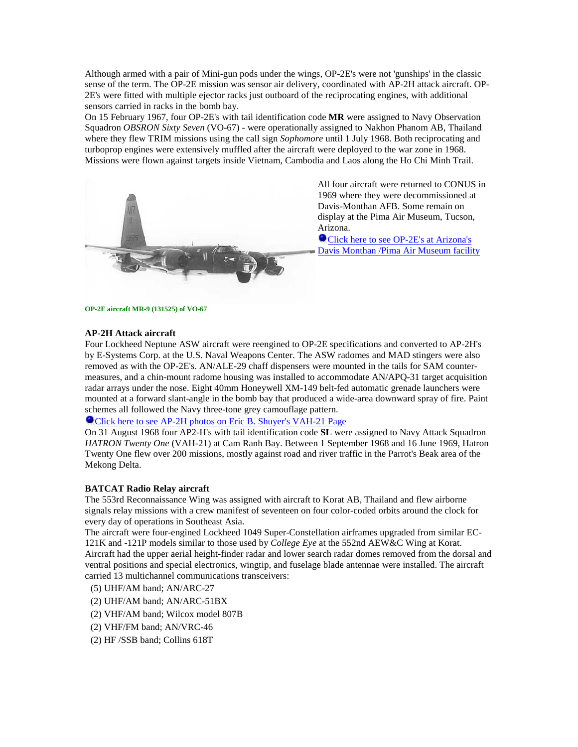Although armed with a pair of Mini-gun pods under the wings, OP-2E's were not 'gunships' in the classic sense of the term. The OP-2E mission was sensor air delivery, coordinated with AP-2H attack aircraft. OP-2E's were fitted with multiple ejector racks just outboard of the reciprocating engines, with additional sensors carried in racks in the bomb bay.

On 15 February 1967, four OP-2E's with tail identification code **MR** were assigned to Navy Observation Squadron *OBSRON Sixty Seven* (VO-67) - were operationally assigned to Nakhon Phanom AB, Thailand where they flew TRIM missions using the call sign *Sophomore* until 1 July 1968. Both reciprocating and turboprop engines were extensively muffled after the aircraft were deployed to the war zone in 1968. Missions were flown against targets inside Vietnam, Cambodia and Laos along the Ho Chi Minh Trail.



All four aircraft were returned to CONUS in 1969 where they were decommissioned at Davis-Monthan AFB. Some remain on display at the Pima Air Museum, Tucson, Arizona.

**O** Click here to see OP-2E's at Arizona's [Davis Monthan /Pima Air Museum facility](http://www.verslo.is/baldur/p2/vo67.htm)

**[OP-2E aircraft MR-9 \(131525\) of VO-67](http://www.webramp.net/users/shyer/VAH-21/)**

# **AP-2H Attack aircraft**

Four Lockheed Neptune ASW aircraft were reengined to OP-2E specifications and converted to AP-2H's by E-Systems Corp. at the U.S. Naval Weapons Center. The ASW radomes and MAD stingers were also removed as with the OP-2E's. AN/ALE-29 chaff dispensers were mounted in the tails for SAM countermeasures, and a chin-mount radome housing was installed to accommodate AN/APQ-31 target acquisition radar arrays under the nose. Eight 40mm Honeywell XM-149 belt-fed automatic grenade launchers were mounted at a forward slant-angle in the bomb bay that produced a wide-area downward spray of fire. Paint schemes all followed the Navy three-tone grey camouflage pattern.

[Click here to see AP-2H photos on Eric B. Shuyer's VAH-21 Page](http://www.webramp.net/users/shyer/VAH-21/index.html)

On 31 August 1968 four AP2-H's with tail identification code **SL** were assigned to Navy Attack Squadron *HATRON Twenty One* (VAH-21) at Cam Ranh Bay. Between 1 September 1968 and 16 June 1969, Hatron Twenty One flew over 200 missions, mostly against road and river traffic in the Parrot's Beak area of the Mekong Delta.

# **BATCAT Radio Relay aircraft**

The 553rd Reconnaissance Wing was assigned with aircraft to Korat AB, Thailand and flew airborne signals relay missions with a crew manifest of seventeen on four color-coded orbits around the clock for every day of operations in Southeast Asia.

The aircraft were four-engined Lockheed 1049 Super-Constellation airframes upgraded from similar EC-121K and -121P models similar to those used by *College Eye* at the 552nd AEW&C Wing at Korat. Aircraft had the upper aerial height-finder radar and lower search radar domes removed from the dorsal and ventral positions and special electronics, wingtip, and fuselage blade antennae were installed. The aircraft carried 13 multichannel communications transceivers:

- (5) UHF/AM band; AN/ARC-27
- (2) UHF/AM band; AN/ARC-51BX
- (2) VHF/AM band; Wilcox model 807B
- (2) VHF/FM band; AN/VRC-46
- (2) HF /SSB band; Collins 618T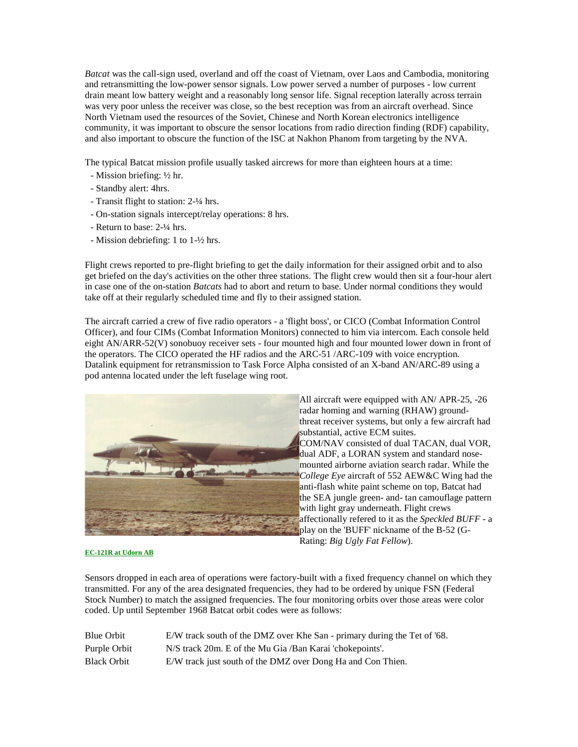*Batcat* was the call-sign used, overland and off the coast of Vietnam, over Laos and Cambodia, monitoring and retransmitting the low-power sensor signals. Low power served a number of purposes - low current drain meant low battery weight and a reasonably long sensor life. Signal reception laterally across terrain was very poor unless the receiver was close, so the best reception was from an aircraft overhead. Since North Vietnam used the resources of the Soviet, Chinese and North Korean electronics intelligence community, it was important to obscure the sensor locations from radio direction finding (RDF) capability, and also important to obscure the function of the ISC at Nakhon Phanom from targeting by the NVA.

The typical Batcat mission profile usually tasked aircrews for more than eighteen hours at a time:

- Mission briefing: ½ hr.
- Standby alert: 4hrs.
- Transit flight to station: 2-¼ hrs.
- On-station signals intercept/relay operations: 8 hrs.
- Return to base: 2-¼ hrs.
- Mission debriefing: 1 to 1-½ hrs.

Flight crews reported to pre-flight briefing to get the daily information for their assigned orbit and to also get briefed on the day's activities on the other three stations. The flight crew would then sit a four-hour alert in case one of the on-station *Batcats* had to abort and return to base. Under normal conditions they would take off at their regularly scheduled time and fly to their assigned station.

The aircraft carried a crew of five radio operators - a 'flight boss', or CICO (Combat Information Control Officer), and four CIMs (Combat Information Monitors) connected to him via intercom. Each console held eight AN/ARR-52(V) sonobuoy receiver sets - four mounted high and four mounted lower down in front of the operators. The CICO operated the HF radios and the ARC-51 /ARC-109 with voice encryption. Datalink equipment for retransmission to Task Force Alpha consisted of an X-band AN/ARC-89 using a pod antenna located under the left fuselage wing root.



All aircraft were equipped with AN/ APR-25, -26 radar homing and warning (RHAW) groundthreat receiver systems, but only a few aircraft had substantial, active ECM suites. COM/NAV consisted of dual TACAN, dual VOR, dual ADF, a LORAN system and standard nosemounted airborne aviation search radar. While the *College Eye* aircraft of 552 AEW&C Wing had the anti-flash white paint scheme on top, Batcat had the SEA jungle green- and- tan camouflage pattern with light gray underneath. Flight crews affectionally refered to it as the *Speckled BUFF* - a play on the 'BUFF' nickname of the B-52 (G-Rating: *Big Ugly Fat Fellow*).

#### **[EC-121R at Udorn AB](http://www.tdstelme.net/%7Ewestin)**

Sensors dropped in each area of operations were factory-built with a fixed frequency channel on which they transmitted. For any of the area designated frequencies, they had to be ordered by unique FSN (Federal Stock Number) to match the assigned frequencies. The four monitoring orbits over those areas were color coded. Up until September 1968 Batcat orbit codes were as follows:

| <b>Blue Orbit</b>  | E/W track south of the DMZ over Khe San - primary during the Tet of '68. |
|--------------------|--------------------------------------------------------------------------|
| Purple Orbit       | N/S track 20m. E of the Mu Gia /Ban Karai 'chokepoints'.                 |
| <b>Black Orbit</b> | E/W track just south of the DMZ over Dong Ha and Con Thien.              |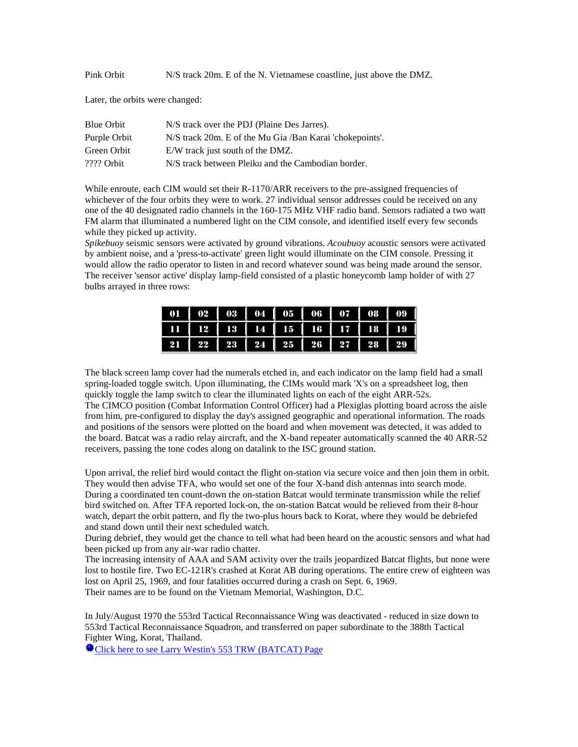Pink Orbit N/S track 20m. E of the N. Vietnamese coastline, just above the DMZ.

Later, the orbits were changed:

| Blue Orbit   | N/S track over the PDJ (Plaine Des Jarres).              |
|--------------|----------------------------------------------------------|
| Purple Orbit | N/S track 20m. E of the Mu Gia /Ban Karai 'chokepoints'. |
| Green Orbit  | E/W track just south of the DMZ.                         |
| $2222$ Orbit | N/S track between Pleiku and the Cambodian border.       |

While enroute, each CIM would set their R-1170/ARR receivers to the pre-assigned frequencies of whichever of the four orbits they were to work. 27 individual sensor addresses could be received on any one of the 40 designated radio channels in the 160-175 MHz VHF radio band. Sensors radiated a two watt FM alarm that illuminated a numbered light on the CIM console, and identified itself every few seconds while they picked up activity.

*Spikebuoy* seismic sensors were activated by ground vibrations. *Acoubuoy* acoustic sensors were activated by ambient noise, and a 'press-to-activate' green light would illuminate on the CIM console. Pressing it would allow the radio operator to listen in and record whatever sound was being made around the sensor. The receiver 'sensor active' display lamp-field consisted of a plastic honeycomb lamp holder of with 27 bulbs arrayed in three rows:

|  |                                            |  |  | 01   02   03   04   05   06   07   08   09 |
|--|--------------------------------------------|--|--|--------------------------------------------|
|  |                                            |  |  | 11   12   13   14   15   16   17   18   19 |
|  | 21   22   23   24   25   26   27   28   29 |  |  |                                            |

The black screen lamp cover had the numerals etched in, and each indicator on the lamp field had a small spring-loaded toggle switch. Upon illuminating, the CIMs would mark 'X's on a spreadsheet log, then quickly toggle the lamp switch to clear the illuminated lights on each of the eight ARR-52s. The CIMCO position (Combat Information Control Officer) had a Plexiglas plotting board across the aisle from him, pre-configured to display the day's assigned geographic and operational information. The roads and positions of the sensors were plotted on the board and when movement was detected, it was added to the board. Batcat was a radio relay aircraft, and the X-band repeater automatically scanned the 40 ARR-52 receivers, passing the tone codes along on datalink to the ISC ground station.

Upon arrival, the relief bird would contact the flight on-station via secure voice and then join them in orbit. They would then advise TFA, who would set one of the four X-band dish antennas into search mode. During a coordinated ten count-down the on-station Batcat would terminate transmission while the relief bird switched on. After TFA reported lock-on, the on-station Batcat would be relieved from their 8-hour watch, depart the orbit pattern, and fly the two-plus hours back to Korat, where they would be debriefed and stand down until their next scheduled watch.

During debrief, they would get the chance to tell what had been heard on the acoustic sensors and what had been picked up from any air-war radio chatter.

The increasing intensity of AAA and SAM activity over the trails jeopardized Batcat flights, but none were lost to hostile fire. Two EC-121R's crashed at Korat AB during operations. The entire crew of eighteen was lost on April 25, 1969, and four fatalities occurred during a crash on Sept. 6, 1969. Their names are to be found on the Vietnam Memorial, Washington, D.C.

In July/August 1970 the 553rd Tactical Reconnaissance Wing was deactivated - reduced in size down to 553rd Tactical Reconnaissance Squadron, and transferred on paper subordinate to the 388th Tactical Fighter Wing, Korat, Thailand.

**O**[Click here to see Larry Westin's 553 TRW \(BATCAT\) Page](http://www.tdstelme.net/%7Ewestin)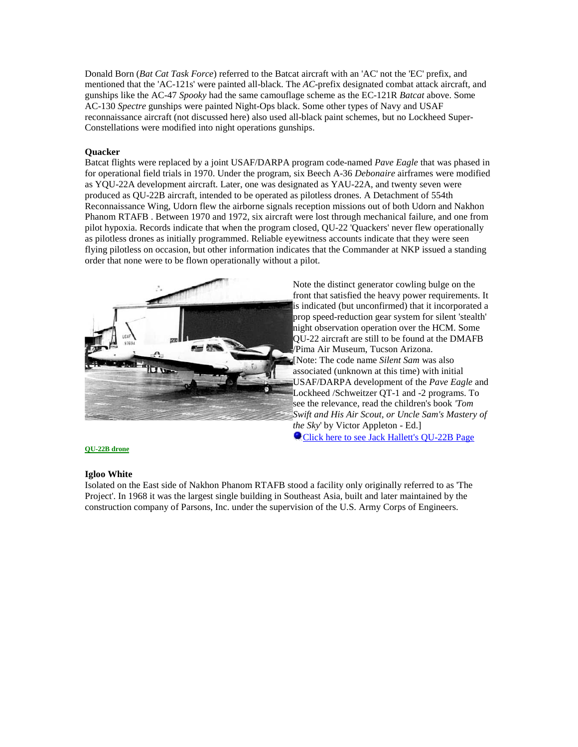Donald Born (*Bat Cat Task Force*) referred to the Batcat aircraft with an 'AC' not the 'EC' prefix, and mentioned that the 'AC-121s' were painted all-black. The *AC*-prefix designated combat attack aircraft, and gunships like the AC-47 *Spooky* had the same camouflage scheme as the EC-121R *Batcat* above. Some AC-130 *Spectre* gunships were painted Night-Ops black. Some other types of Navy and USAF reconnaissance aircraft (not discussed here) also used all-black paint schemes, but no Lockheed Super-Constellations were modified into night operations gunships.

# **Quacker**

Batcat flights were replaced by a joint USAF/DARPA program code-named *Pave Eagle* that was phased in for operational field trials in 1970. Under the program, six Beech A-36 *Debonaire* airframes were modified as YQU-22A development aircraft. Later, one was designated as YAU-22A, and twenty seven were produced as QU-22B aircraft, intended to be operated as pilotless drones. A Detachment of 554th Reconnaissance Wing, Udorn flew the airborne signals reception missions out of both Udorn and Nakhon Phanom RTAFB . Between 1970 and 1972, six aircraft were lost through mechanical failure, and one from pilot hypoxia. Records indicate that when the program closed, QU-22 'Quackers' never flew operationally as pilotless drones as initially programmed. Reliable eyewitness accounts indicate that they were seen flying pilotless on occasion, but other information indicates that the Commander at NKP issued a standing order that none were to be flown operationally without a pilot.



Note the distinct generator cowling bulge on the front that satisfied the heavy power requirements. It is indicated (but unconfirmed) that it incorporated a prop speed-reduction gear system for silent 'stealth' night observation operation over the HCM. Some QU-22 aircraft are still to be found at the DMAFB /Pima Air Museum, Tucson Arizona. [Note: The code name *Silent Sam* was also associated (unknown at this time) with initial USAF/DARPA development of the *Pave Eagle* and Lockheed /Schweitzer QT-1 and -2 programs. To see the relevance, read the children's book *'Tom Swift and His Air Scout, or Uncle Sam's Mastery of the Sky*' by Victor Appleton - Ed.] **[Click here to see Jack Hallett's QU-22B Page](http://home.earthlink.net/%7Ebaron58/q2.htm)** 

#### **[QU-22B drone](http://home.att.net/%7Ec.jeppeson/pave_eagle.html)**

#### **Igloo White**

Isolated on the East side of Nakhon Phanom RTAFB stood a facility only originally referred to as 'The Project'. In 1968 it was the largest single building in Southeast Asia, built and later maintained by the construction company of Parsons, Inc. under the supervision of the U.S. Army Corps of Engineers.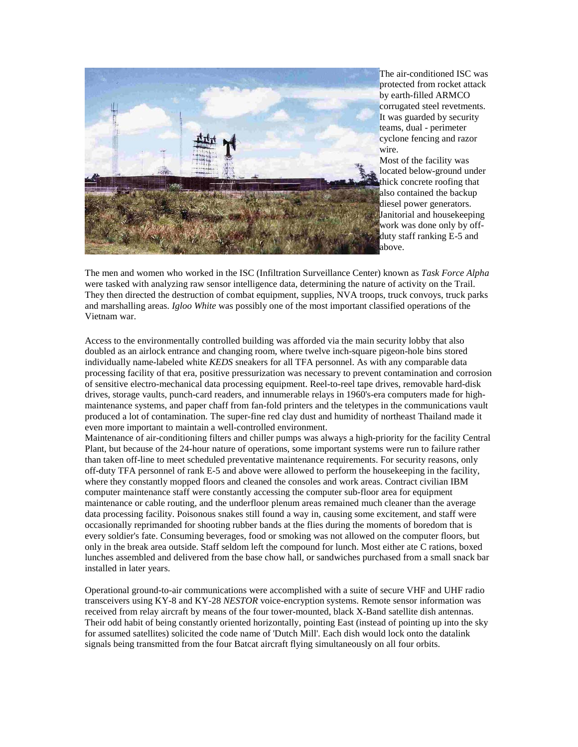

The air-conditioned ISC was protected from rocket attack by earth-filled ARMCO corrugated steel revetments. It was guarded by security teams, dual - perimeter cyclone fencing and razor wire.

Most of the facility was located below-ground under thick concrete roofing that also contained the backup diesel power generators. Janitorial and housekeeping work was done only by offduty staff ranking E-5 and above.

The men and women who worked in the ISC (Infiltration Surveillance Center) known as *Task Force Alpha* were tasked with analyzing raw sensor intelligence data, determining the nature of activity on the Trail. They then directed the destruction of combat equipment, supplies, NVA troops, truck convoys, truck parks and marshalling areas. *Igloo White* was possibly one of the most important classified operations of the Vietnam war.

Access to the environmentally controlled building was afforded via the main security lobby that also doubled as an airlock entrance and changing room, where twelve inch-square pigeon-hole bins stored individually name-labeled white *KEDS* sneakers for all TFA personnel. As with any comparable data processing facility of that era, positive pressurization was necessary to prevent contamination and corrosion of sensitive electro-mechanical data processing equipment. Reel-to-reel tape drives, removable hard-disk drives, storage vaults, punch-card readers, and innumerable relays in 1960's-era computers made for highmaintenance systems, and paper chaff from fan-fold printers and the teletypes in the communications vault produced a lot of contamination. The super-fine red clay dust and humidity of northeast Thailand made it even more important to maintain a well-controlled environment.

Maintenance of air-conditioning filters and chiller pumps was always a high-priority for the facility Central Plant, but because of the 24-hour nature of operations, some important systems were run to failure rather than taken off-line to meet scheduled preventative maintenance requirements. For security reasons, only off-duty TFA personnel of rank E-5 and above were allowed to perform the housekeeping in the facility, where they constantly mopped floors and cleaned the consoles and work areas. Contract civilian IBM computer maintenance staff were constantly accessing the computer sub-floor area for equipment maintenance or cable routing, and the underfloor plenum areas remained much cleaner than the average data processing facility. Poisonous snakes still found a way in, causing some excitement, and staff were occasionally reprimanded for shooting rubber bands at the flies during the moments of boredom that is every soldier's fate. Consuming beverages, food or smoking was not allowed on the computer floors, but only in the break area outside. Staff seldom left the compound for lunch. Most either ate C rations, boxed lunches assembled and delivered from the base chow hall, or sandwiches purchased from a small snack bar installed in later years.

Operational ground-to-air communications were accomplished with a suite of secure VHF and UHF radio transceivers using KY-8 and KY-28 *NESTOR* voice-encryption systems. Remote sensor information was received from relay aircraft by means of the four tower-mounted, black X-Band satellite dish antennas. Their odd habit of being constantly oriented horizontally, pointing East (instead of pointing up into the sky for assumed satellites) solicited the code name of 'Dutch Mill'. Each dish would lock onto the datalink signals being transmitted from the four Batcat aircraft flying simultaneously on all four orbits.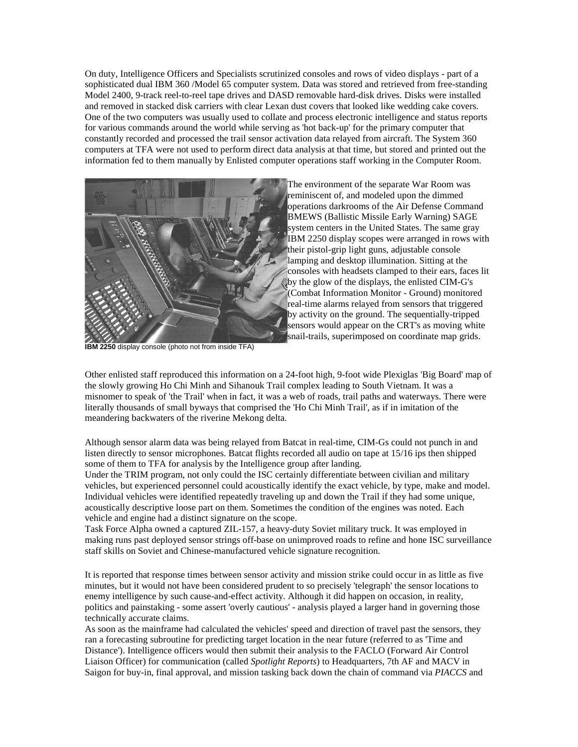On duty, Intelligence Officers and Specialists scrutinized consoles and rows of video displays - part of a sophisticated dual IBM 360 /Model 65 computer system. Data was stored and retrieved from free-standing Model 2400, 9-track reel-to-reel tape drives and DASD removable hard-disk drives. Disks were installed and removed in stacked disk carriers with clear Lexan dust covers that looked like wedding cake covers. One of the two computers was usually used to collate and process electronic intelligence and status reports for various commands around the world while serving as 'hot back-up' for the primary computer that constantly recorded and processed the trail sensor activation data relayed from aircraft. The System 360 computers at TFA were not used to perform direct data analysis at that time, but stored and printed out the information fed to them manually by Enlisted computer operations staff working in the Computer Room.



The environment of the separate War Room was reminiscent of, and modeled upon the dimmed operations darkrooms of the Air Defense Command BMEWS (Ballistic Missile Early Warning) SAGE system centers in the United States. The same gray IBM 2250 display scopes were arranged in rows with their pistol-grip light guns, adjustable console lamping and desktop illumination. Sitting at the consoles with headsets clamped to their ears, faces lit by the glow of the displays, the enlisted CIM-G's (Combat Information Monitor - Ground) monitored real-time alarms relayed from sensors that triggered by activity on the ground. The sequentially-tripped sensors would appear on the CRT's as moving white snail-trails, superimposed on coordinate map grids.

**IBM 2250** display console (photo not from inside TFA)

Other enlisted staff reproduced this information on a 24-foot high, 9-foot wide Plexiglas 'Big Board' map of the slowly growing Ho Chi Minh and Sihanouk Trail complex leading to South Vietnam. It was a misnomer to speak of 'the Trail' when in fact, it was a web of roads, trail paths and waterways. There were literally thousands of small byways that comprised the 'Ho Chi Minh Trail', as if in imitation of the meandering backwaters of the riverine Mekong delta.

Although sensor alarm data was being relayed from Batcat in real-time, CIM-Gs could not punch in and listen directly to sensor microphones. Batcat flights recorded all audio on tape at 15/16 ips then shipped some of them to TFA for analysis by the Intelligence group after landing.

Under the TRIM program, not only could the ISC certainly differentiate between civilian and military vehicles, but experienced personnel could acoustically identify the exact vehicle, by type, make and model. Individual vehicles were identified repeatedly traveling up and down the Trail if they had some unique, acoustically descriptive loose part on them. Sometimes the condition of the engines was noted. Each vehicle and engine had a distinct signature on the scope.

Task Force Alpha owned a captured ZIL-157, a heavy-duty Soviet military truck. It was employed in making runs past deployed sensor strings off-base on unimproved roads to refine and hone ISC surveillance staff skills on Soviet and Chinese-manufactured vehicle signature recognition.

It is reported that response times between sensor activity and mission strike could occur in as little as five minutes, but it would not have been considered prudent to so precisely 'telegraph' the sensor locations to enemy intelligence by such cause-and-effect activity. Although it did happen on occasion, in reality, politics and painstaking - some assert 'overly cautious' - analysis played a larger hand in governing those technically accurate claims.

As soon as the mainframe had calculated the vehicles' speed and direction of travel past the sensors, they ran a forecasting subroutine for predicting target location in the near future (referred to as 'Time and Distance'). Intelligence officers would then submit their analysis to the FACLO (Forward Air Control Liaison Officer) for communication (called *Spotlight Reports*) to Headquarters, 7th AF and MACV in Saigon for buy-in, final approval, and mission tasking back down the chain of command via *PIACCS* and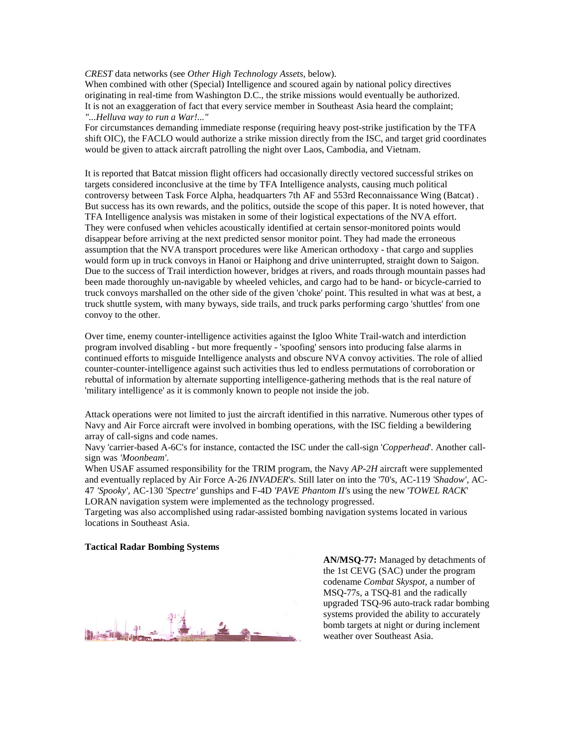## *CREST* data networks (see *Other High Technology Assets*, below).

When combined with other (Special) Intelligence and scoured again by national policy directives originating in real-time from Washington D.C., the strike missions would eventually be authorized. It is not an exaggeration of fact that every service member in Southeast Asia heard the complaint; *"...Helluva way to run a War!..."* 

For circumstances demanding immediate response (requiring heavy post-strike justification by the TFA shift OIC), the FACLO would authorize a strike mission directly from the ISC, and target grid coordinates would be given to attack aircraft patrolling the night over Laos, Cambodia, and Vietnam.

It is reported that Batcat mission flight officers had occasionally directly vectored successful strikes on targets considered inconclusive at the time by TFA Intelligence analysts, causing much political controversy between Task Force Alpha, headquarters 7th AF and 553rd Reconnaissance Wing (Batcat) . But success has its own rewards, and the politics, outside the scope of this paper. It is noted however, that TFA Intelligence analysis was mistaken in some of their logistical expectations of the NVA effort. They were confused when vehicles acoustically identified at certain sensor-monitored points would disappear before arriving at the next predicted sensor monitor point. They had made the erroneous assumption that the NVA transport procedures were like American orthodoxy - that cargo and supplies would form up in truck convoys in Hanoi or Haiphong and drive uninterrupted, straight down to Saigon. Due to the success of Trail interdiction however, bridges at rivers, and roads through mountain passes had been made thoroughly un-navigable by wheeled vehicles, and cargo had to be hand- or bicycle-carried to truck convoys marshalled on the other side of the given 'choke' point. This resulted in what was at best, a truck shuttle system, with many byways, side trails, and truck parks performing cargo 'shuttles' from one convoy to the other.

Over time, enemy counter-intelligence activities against the Igloo White Trail-watch and interdiction program involved disabling - but more frequently - 'spoofing' sensors into producing false alarms in continued efforts to misguide Intelligence analysts and obscure NVA convoy activities. The role of allied counter-counter-intelligence against such activities thus led to endless permutations of corroboration or rebuttal of information by alternate supporting intelligence-gathering methods that is the real nature of 'military intelligence' as it is commonly known to people not inside the job.

Attack operations were not limited to just the aircraft identified in this narrative. Numerous other types of Navy and Air Force aircraft were involved in bombing operations, with the ISC fielding a bewildering array of call-signs and code names.

Navy 'carrier-based A-6C's for instance, contacted the ISC under the call-sign '*Copperhead*'. Another callsign was *'Moonbeam'*.

When USAF assumed responsibility for the TRIM program, the Navy *AP-2H* aircraft were supplemented and eventually replaced by Air Force A-26 *INVADER*'s. Still later on into the '70's, AC-119 *'Shadow'*, AC-47 *'Spooky',* AC-130 *'Spectre'* gunships and F-4D *'PAVE Phantom II'*s using the new '*TOWEL RACK*' LORAN navigation system were implemented as the technology progressed.

Targeting was also accomplished using radar-assisted bombing navigation systems located in various locations in Southeast Asia.

#### **Tactical Radar Bombing Systems**

**AN/MSQ-77:** Managed by detachments of the 1st CEVG (SAC) under the program codename *Combat Skyspot*, a number of MSQ-77s, a TSQ-81 and the radically upgraded TSQ-96 auto-track radar bombing systems provided the ability to accurately bomb targets at night or during inclement weather over Southeast Asia.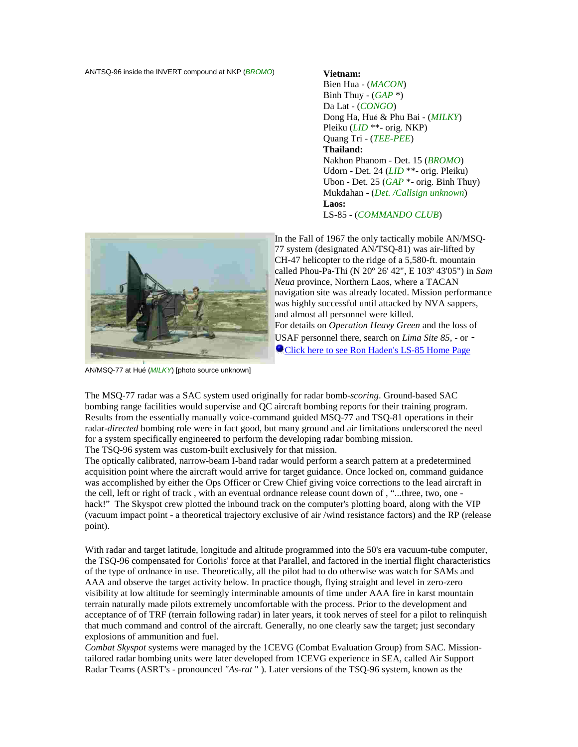AN/TSQ-96 inside the INVERT compound at NKP (*BROMO*) **Vietnam:**

Bien Hua - (*MACON*) Binh Thuy - (*GAP* \*) Da Lat - (*CONGO*) Dong Ha, Hué & Phu Bai - (*MILKY*) Pleiku (*LID* \*\*- orig. NKP) Quang Tri - (*TEE-PEE*) **Thailand:** Nakhon Phanom - Det. 15 (*BROMO*) Udorn - Det. 24 (*LID* \*\*- orig. Pleiku) Ubon - Det. 25 (*GAP* \*- orig. Binh Thuy) Mukdahan - (*Det. /Callsign unknown*) **Laos:**  LS-85 - (*COMMANDO CLUB*)



In the Fall of 1967 the only tactically mobile AN/MSQ-77 system (designated AN/TSQ-81) was air-lifted by CH-47 helicopter to the ridge of a 5,580-ft. mountain called Phou-Pa-Thi (N 20º 26' 42", E 103º 43'05") in *Sam Neua* province, Northern Laos, where a TACAN navigation site was already located. Mission performance was highly successful until attacked by NVA sappers, and almost all personnel were killed. For details on *Operation Heavy Green* and the loss of USAF personnel there, search on *Lima Site 85,* - or - **O** [Click here to see Ron Haden's LS-85 Home Page](http://home.att.net/%7Ec.jeppeson/igloo_white.html)

AN/MSQ-77 at Hué (*MILKY*) [photo source unknown]

The MSQ-77 radar was a SAC system used originally for radar bomb-*scoring*. Ground-based SAC bombing range facilities would supervise and QC aircraft bombing reports for their training program. Results from the essentially manually voice-command guided MSQ-77 and TSQ-81 operations in their radar-*directed* bombing role were in fact good, but many ground and air limitations underscored the need for a system specifically engineered to perform the developing radar bombing mission. The TSQ-96 system was custom-built exclusively for that mission.

The optically calibrated, narrow-beam I-band radar would perform a search pattern at a predetermined acquisition point where the aircraft would arrive for target guidance. Once locked on, command guidance was accomplished by either the Ops Officer or Crew Chief giving voice corrections to the lead aircraft in the cell, left or right of track , with an eventual ordnance release count down of , "...three, two, one hack!" The Skyspot crew plotted the inbound track on the computer's plotting board, along with the VIP (vacuum impact point - a theoretical trajectory exclusive of air /wind resistance factors) and the RP (release point).

With radar and target latitude, longitude and altitude programmed into the 50's era vacuum-tube computer, the TSQ-96 compensated for Coriolis' force at that Parallel, and factored in the inertial flight characteristics of the type of ordnance in use. Theoretically, all the pilot had to do otherwise was watch for SAMs and AAA and observe the target activity below. In practice though, flying straight and level in zero-zero visibility at low altitude for seemingly interminable amounts of time under AAA fire in karst mountain terrain naturally made pilots extremely uncomfortable with the process. Prior to the development and acceptance of of TRF (terrain following radar) in later years, it took nerves of steel for a pilot to relinquish that much command and control of the aircraft. Generally, no one clearly saw the target; just secondary explosions of ammunition and fuel.

*Combat Skyspot* systems were managed by the 1CEVG (Combat Evaluation Group) from SAC. Missiontailored radar bombing units were later developed from 1CEVG experience in SEA, called Air Support Radar Teams (ASRT's - pronounced *"As-rat* " ). Later versions of the TSQ-96 system, known as the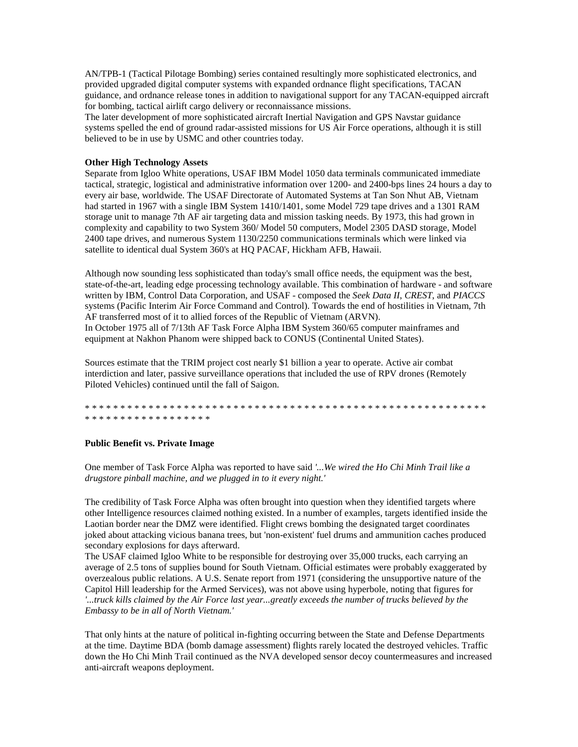AN/TPB-1 (Tactical Pilotage Bombing) series contained resultingly more sophisticated electronics, and provided upgraded digital computer systems with expanded ordnance flight specifications, TACAN guidance, and ordnance release tones in addition to navigational support for any TACAN-equipped aircraft for bombing, tactical airlift cargo delivery or reconnaissance missions.

The later development of more sophisticated aircraft Inertial Navigation and GPS Navstar guidance systems spelled the end of ground radar-assisted missions for US Air Force operations, although it is still believed to be in use by USMC and other countries today.

## **Other High Technology Assets**

Separate from Igloo White operations, USAF IBM Model 1050 data terminals communicated immediate tactical, strategic, logistical and administrative information over 1200- and 2400-bps lines 24 hours a day to every air base, worldwide. The USAF Directorate of Automated Systems at Tan Son Nhut AB, Vietnam had started in 1967 with a single IBM System 1410/1401, some Model 729 tape drives and a 1301 RAM storage unit to manage 7th AF air targeting data and mission tasking needs. By 1973, this had grown in complexity and capability to two System 360/ Model 50 computers, Model 2305 DASD storage, Model 2400 tape drives, and numerous System 1130/2250 communications terminals which were linked via satellite to identical dual System 360's at HQ PACAF, Hickham AFB, Hawaii.

Although now sounding less sophisticated than today's small office needs, the equipment was the best, state-of-the-art, leading edge processing technology available. This combination of hardware - and software written by IBM, Control Data Corporation, and USAF - composed the *Seek Data II*, *CREST*, and *PIACCS* systems (Pacific Interim Air Force Command and Control). Towards the end of hostilities in Vietnam, 7th AF transferred most of it to allied forces of the Republic of Vietnam (ARVN). In October 1975 all of 7/13th AF Task Force Alpha IBM System 360/65 computer mainframes and equipment at Nakhon Phanom were shipped back to CONUS (Continental United States).

Sources estimate that the TRIM project cost nearly \$1 billion a year to operate. Active air combat interdiction and later, passive surveillance operations that included the use of RPV drones (Remotely Piloted Vehicles) continued until the fall of Saigon.

\* \* \* \* \* \* \* \* \* \* \* \* \* \* \* \* \* \* \* \* \* \* \* \* \* \* \* \* \* \* \* \* \* \* \* \* \* \* \* \* \* \* \* \* \* \* \* \* \* \* \* \* \* \* \* \* \* \* \* \* \* \* \* \* \* \* \* \* \* \* \* \* \* \*

#### **Public Benefit vs. Private Image**

One member of Task Force Alpha was reported to have said *'...We wired the Ho Chi Minh Trail like a drugstore pinball machine, and we plugged in to it every night.'* 

The credibility of Task Force Alpha was often brought into question when they identified targets where other Intelligence resources claimed nothing existed. In a number of examples, targets identified inside the Laotian border near the DMZ were identified. Flight crews bombing the designated target coordinates joked about attacking vicious banana trees, but 'non-existent' fuel drums and ammunition caches produced secondary explosions for days afterward.

The USAF claimed Igloo White to be responsible for destroying over 35,000 trucks, each carrying an average of 2.5 tons of supplies bound for South Vietnam. Official estimates were probably exaggerated by overzealous public relations. A U.S. Senate report from 1971 (considering the unsupportive nature of the Capitol Hill leadership for the Armed Services), was not above using hyperbole, noting that figures for *'...truck kills claimed by the Air Force last year...greatly exceeds the number of trucks believed by the Embassy to be in all of North Vietnam.'*

That only hints at the nature of political in-fighting occurring between the State and Defense Departments at the time. Daytime BDA (bomb damage assessment) flights rarely located the destroyed vehicles. Traffic down the Ho Chi Minh Trail continued as the NVA developed sensor decoy countermeasures and increased anti-aircraft weapons deployment.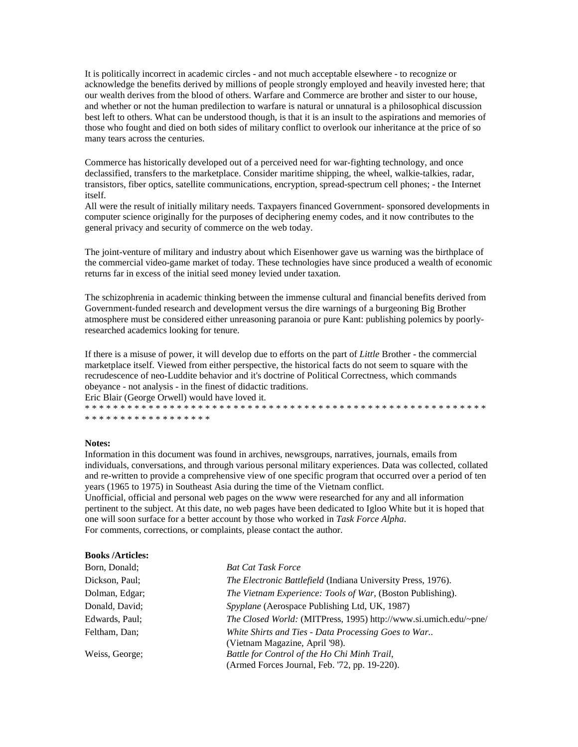It is politically incorrect in academic circles - and not much acceptable elsewhere - to recognize or acknowledge the benefits derived by millions of people strongly employed and heavily invested here; that our wealth derives from the blood of others. Warfare and Commerce are brother and sister to our house, and whether or not the human predilection to warfare is natural or unnatural is a philosophical discussion best left to others. What can be understood though, is that it is an insult to the aspirations and memories of those who fought and died on both sides of military conflict to overlook our inheritance at the price of so many tears across the centuries.

Commerce has historically developed out of a perceived need for war-fighting technology, and once declassified, transfers to the marketplace. Consider maritime shipping, the wheel, walkie-talkies, radar, transistors, fiber optics, satellite communications, encryption, spread-spectrum cell phones; - the Internet itself.

All were the result of initially military needs. Taxpayers financed Government- sponsored developments in computer science originally for the purposes of deciphering enemy codes, and it now contributes to the general privacy and security of commerce on the web today.

The joint-venture of military and industry about which Eisenhower gave us warning was the birthplace of the commercial video-game market of today. These technologies have since produced a wealth of economic returns far in excess of the initial seed money levied under taxation.

The schizophrenia in academic thinking between the immense cultural and financial benefits derived from Government-funded research and development versus the dire warnings of a burgeoning Big Brother atmosphere must be considered either unreasoning paranoia or pure Kant: publishing polemics by poorlyresearched academics looking for tenure.

If there is a misuse of power, it will develop due to efforts on the part of *Little* Brother - the commercial marketplace itself. Viewed from either perspective, the historical facts do not seem to square with the recrudescence of neo-Luddite behavior and it's doctrine of Political Correctness, which commands obeyance - not analysis - in the finest of didactic traditions.

Eric Blair (George Orwell) would have loved it. \* \* \* \* \* \* \* \* \* \* \* \* \* \* \* \* \* \* \* \* \* \* \* \* \* \* \* \* \* \* \* \* \* \* \* \* \* \* \* \* \* \* \* \* \* \* \* \* \* \* \* \* \* \* \* \* \*

\* \* \* \* \* \* \* \* \* \* \* \* \* \* \* \* \*

# **Notes:**

Information in this document was found in archives, newsgroups, narratives, journals, emails from individuals, conversations, and through various personal military experiences. Data was collected, collated and re-written to provide a comprehensive view of one specific program that occurred over a period of ten years (1965 to 1975) in Southeast Asia during the time of the Vietnam conflict.

Unofficial, official and personal web pages on the www were researched for any and all information pertinent to the subject. At this date, no web pages have been dedicated to Igloo White but it is hoped that one will soon surface for a better account by those who worked in *Task Force Alpha*. For comments, corrections, or complaints, please contact the author.

# **Books /Articles:**

| Born, Donald;  | <b>Bat Cat Task Force</b>                                          |
|----------------|--------------------------------------------------------------------|
| Dickson, Paul; | The Electronic Battlefield (Indiana University Press, 1976).       |
| Dolman, Edgar; | <i>The Vietnam Experience: Tools of War</i> , (Boston Publishing). |
| Donald, David; | Spyplane (Aerospace Publishing Ltd, UK, 1987)                      |
| Edwards, Paul; | The Closed World: (MITPress, 1995) http://www.si.umich.edu/~pne/   |
| Feltham, Dan;  | White Shirts and Ties - Data Processing Goes to War                |
|                | (Vietnam Magazine, April '98).                                     |
| Weiss, George; | Battle for Control of the Ho Chi Minh Trail,                       |
|                | (Armed Forces Journal, Feb. '72, pp. 19-220).                      |